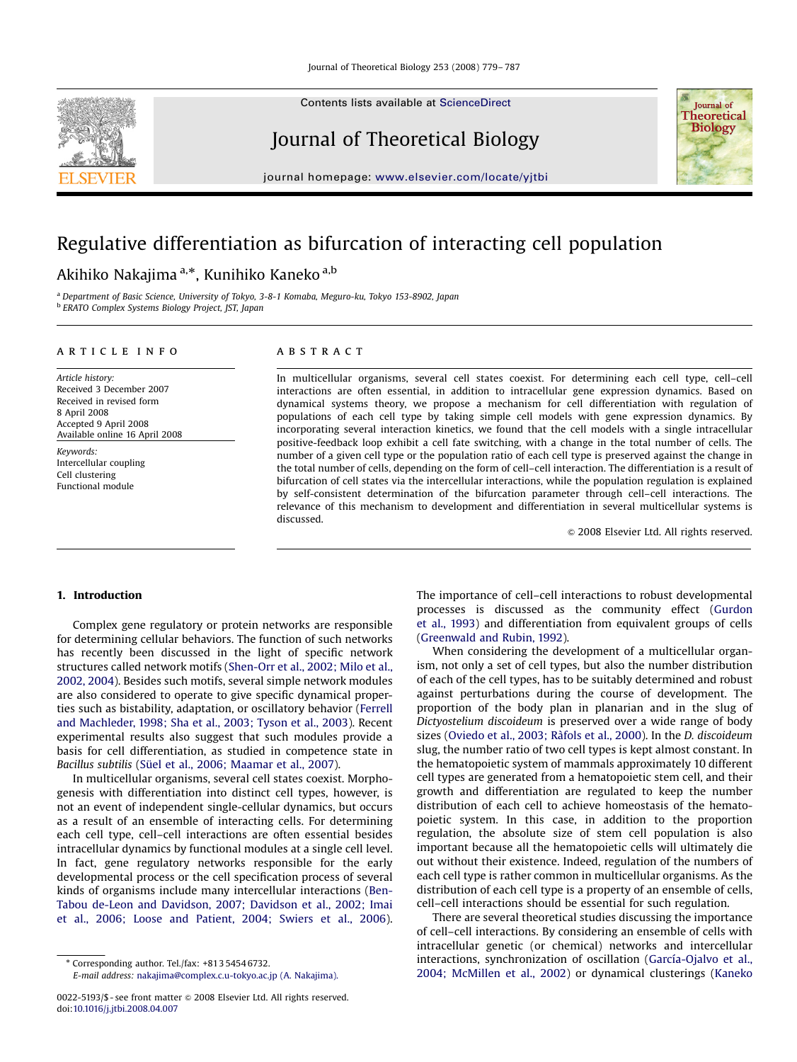Contents lists available at [ScienceDirect](www.sciencedirect.com/science/journal/yjtbi)

# Journal of Theoretical Biology

journal homepage: <www.elsevier.com/locate/yjtbi>

# Regulative differentiation as bifurcation of interacting cell population

# Akihiko Nakajima <sup>a,</sup>\*, Kunihiko Kaneko <sup>a,b</sup>

<sup>a</sup> Department of Basic Science, University of Tokyo, 3-8-1 Komaba, Meguro-ku, Tokyo 153-8902, Japan <sup>b</sup> ERATO Complex Systems Biology Project, JST, Japan

## article info

Article history: Received 3 December 2007 Received in revised form 8 April 2008 Accepted 9 April 2008 Available online 16 April 2008

Keywords: Intercellular coupling Cell clustering Functional module

## **ABSTRACT**

In multicellular organisms, several cell states coexist. For determining each cell type, cell–cell interactions are often essential, in addition to intracellular gene expression dynamics. Based on dynamical systems theory, we propose a mechanism for cell differentiation with regulation of populations of each cell type by taking simple cell models with gene expression dynamics. By incorporating several interaction kinetics, we found that the cell models with a single intracellular positive-feedback loop exhibit a cell fate switching, with a change in the total number of cells. The number of a given cell type or the population ratio of each cell type is preserved against the change in the total number of cells, depending on the form of cell–cell interaction. The differentiation is a result of bifurcation of cell states via the intercellular interactions, while the population regulation is explained by self-consistent determination of the bifurcation parameter through cell–cell interactions. The relevance of this mechanism to development and differentiation in several multicellular systems is discussed.

 $\odot$  2008 Elsevier Ltd. All rights reserved.

## 1. Introduction

Complex gene regulatory or protein networks are responsible for determining cellular behaviors. The function of such networks has recently been discussed in the light of specific network structures called network motifs ([Shen-Orr et al., 2002; Milo et al.,](#page-8-0) [2002, 2004](#page-8-0)). Besides such motifs, several simple network modules are also considered to operate to give specific dynamical properties such as bistability, adaptation, or oscillatory behavior [\(Ferrell](#page-7-0) [and Machleder, 1998; Sha et al., 2003; Tyson et al., 2003](#page-7-0)). Recent experimental results also suggest that such modules provide a basis for cell differentiation, as studied in competence state in Bacillus subtilis (Sü[el et al., 2006; Maamar et al., 2007\)](#page-8-0).

In multicellular organisms, several cell states coexist. Morphogenesis with differentiation into distinct cell types, however, is not an event of independent single-cellular dynamics, but occurs as a result of an ensemble of interacting cells. For determining each cell type, cell–cell interactions are often essential besides intracellular dynamics by functional modules at a single cell level. In fact, gene regulatory networks responsible for the early developmental process or the cell specification process of several kinds of organisms include many intercellular interactions ([Ben-](#page-7-0)[Tabou de-Leon and Davidson, 2007; Davidson et al., 2002; Imai](#page-7-0) [et al., 2006; Loose and Patient, 2004; Swiers et al., 2006\)](#page-7-0). The importance of cell–cell interactions to robust developmental processes is discussed as the community effect ([Gurdon](#page-7-0) [et al., 1993](#page-7-0)) and differentiation from equivalent groups of cells ([Greenwald and Rubin, 1992\)](#page-7-0).

When considering the development of a multicellular organism, not only a set of cell types, but also the number distribution of each of the cell types, has to be suitably determined and robust against perturbations during the course of development. The proportion of the body plan in planarian and in the slug of Dictyostelium discoideum is preserved over a wide range of body sizes (Oviedo et al., 2003; Ràfols et al., 2000). In the D. discoideum slug, the number ratio of two cell types is kept almost constant. In the hematopoietic system of mammals approximately 10 different cell types are generated from a hematopoietic stem cell, and their growth and differentiation are regulated to keep the number distribution of each cell to achieve homeostasis of the hematopoietic system. In this case, in addition to the proportion regulation, the absolute size of stem cell population is also important because all the hematopoietic cells will ultimately die out without their existence. Indeed, regulation of the numbers of each cell type is rather common in multicellular organisms. As the distribution of each cell type is a property of an ensemble of cells, cell–cell interactions should be essential for such regulation.

There are several theoretical studies discussing the importance of cell–cell interactions. By considering an ensemble of cells with intracellular genetic (or chemical) networks and intercellular interactions, synchronization of oscillation (García-Ojalvo et al., [2004; McMillen et al., 2002](#page-7-0)) or dynamical clusterings [\(Kaneko](#page-7-0)





<sup>-</sup> Corresponding author. Tel./fax: +813 5454 6732.

E-mail address: [nakajima@complex.c.u-tokyo.ac.jp \(A. Nakajima\).](mailto:nakajima@complex.c.u-tokyo.ac.jp)

<sup>0022-5193/\$ -</sup> see front matter  $\circ$  2008 Elsevier Ltd. All rights reserved. doi:[10.1016/j.jtbi.2008.04.007](dx.doi.org/10.1016/j.jtbi.2008.04.007)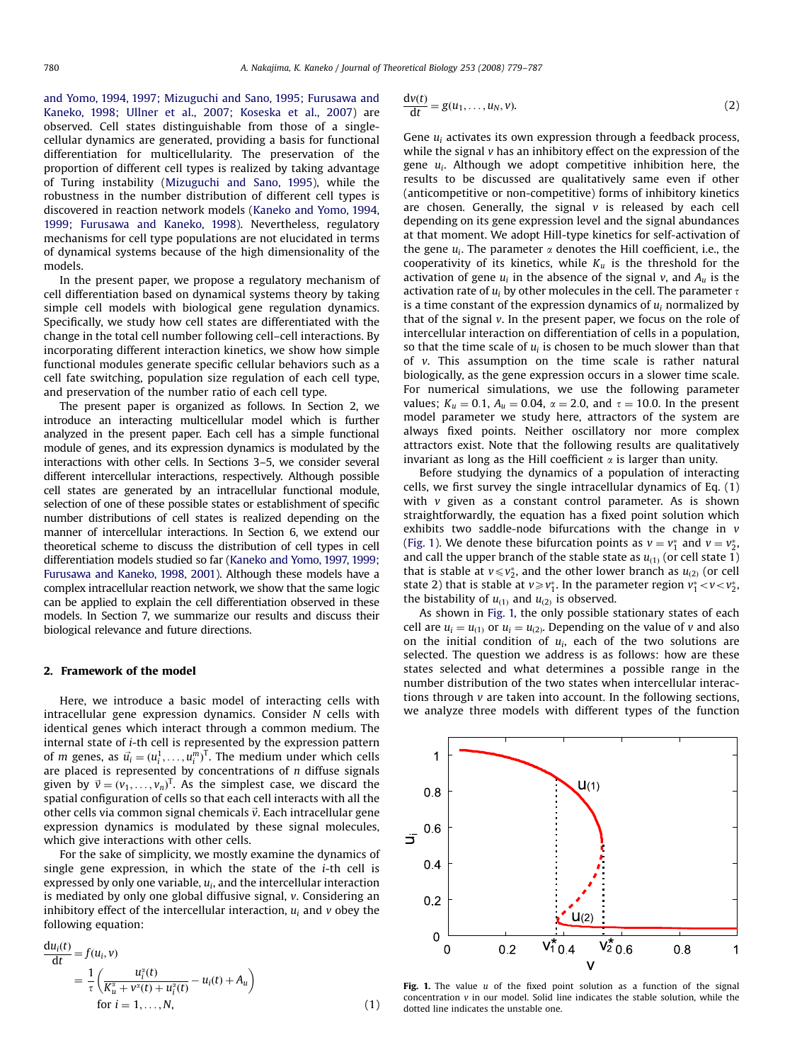<span id="page-1-0"></span>[and Yomo, 1994, 1997; Mizuguchi and Sano, 1995; Furusawa and](#page-7-0) [Kaneko, 1998; Ullner et al., 2007; Koseska et al., 2007\)](#page-7-0) are observed. Cell states distinguishable from those of a singlecellular dynamics are generated, providing a basis for functional differentiation for multicellularity. The preservation of the proportion of different cell types is realized by taking advantage of Turing instability ([Mizuguchi and Sano, 1995\)](#page-8-0), while the robustness in the number distribution of different cell types is discovered in reaction network models [\(Kaneko and Yomo, 1994,](#page-7-0) [1999; Furusawa and Kaneko, 1998\)](#page-7-0). Nevertheless, regulatory mechanisms for cell type populations are not elucidated in terms of dynamical systems because of the high dimensionality of the models.

In the present paper, we propose a regulatory mechanism of cell differentiation based on dynamical systems theory by taking simple cell models with biological gene regulation dynamics. Specifically, we study how cell states are differentiated with the change in the total cell number following cell–cell interactions. By incorporating different interaction kinetics, we show how simple functional modules generate specific cellular behaviors such as a cell fate switching, population size regulation of each cell type, and preservation of the number ratio of each cell type.

The present paper is organized as follows. In Section 2, we introduce an interacting multicellular model which is further analyzed in the present paper. Each cell has a simple functional module of genes, and its expression dynamics is modulated by the interactions with other cells. In Sections 3–5, we consider several different intercellular interactions, respectively. Although possible cell states are generated by an intracellular functional module, selection of one of these possible states or establishment of specific number distributions of cell states is realized depending on the manner of intercellular interactions. In Section 6, we extend our theoretical scheme to discuss the distribution of cell types in cell differentiation models studied so far [\(Kaneko and Yomo, 1997, 1999;](#page-7-0) [Furusawa and Kaneko, 1998, 2001](#page-7-0)). Although these models have a complex intracellular reaction network, we show that the same logic can be applied to explain the cell differentiation observed in these models. In Section 7, we summarize our results and discuss their biological relevance and future directions.

### 2. Framework of the model

Here, we introduce a basic model of interacting cells with intracellular gene expression dynamics. Consider N cells with identical genes which interact through a common medium. The internal state of i-th cell is represented by the expression pattern of *m* genes, as  $\vec{u}_i = (u_i^1, \dots, u_i^m)^T$ . The medium under which cells are placed is represented by concentrations of  $n$  diffuse signals given by  $\vec{v} = (v_1, \ldots, v_n)^T$ . As the simplest case, we discard the spatial configuration of cells so that each cell interacts with all the other cells via common signal chemicals  $\vec{v}$ . Each intracellular gene expression dynamics is modulated by these signal molecules, which give interactions with other cells.

For the sake of simplicity, we mostly examine the dynamics of single gene expression, in which the state of the i-th cell is expressed by only one variable,  $u_i$ , and the intercellular interaction is mediated by only one global diffusive signal, v. Considering an inhibitory effect of the intercellular interaction,  $u_i$  and  $v$  obey the following equation:

$$
\frac{du_i(t)}{dt} = f(u_i, v) \n= \frac{1}{\tau} \left( \frac{u_i^{\alpha}(t)}{K_u^{\alpha} + v^{\alpha}(t) + u_i^{\alpha}(t)} - u_i(t) + A_u \right) \nfor i = 1, ..., N,
$$
\n(1)

$$
\frac{dv(t)}{dt} = g(u_1, \dots, u_N, v). \tag{2}
$$

Gene  $u_i$  activates its own expression through a feedback process, while the signal  $v$  has an inhibitory effect on the expression of the gene  $u_i$ . Although we adopt competitive inhibition here, the results to be discussed are qualitatively same even if other (anticompetitive or non-competitive) forms of inhibitory kinetics are chosen. Generally, the signal  $v$  is released by each cell depending on its gene expression level and the signal abundances at that moment. We adopt Hill-type kinetics for self-activation of the gene  $u_i$ . The parameter  $\alpha$  denotes the Hill coefficient, i.e., the cooperativity of its kinetics, while  $K_u$  is the threshold for the activation of gene  $u_i$  in the absence of the signal v, and  $A_u$  is the activation rate of  $u_i$  by other molecules in the cell. The parameter  $\tau$ is a time constant of the expression dynamics of  $u_i$  normalized by that of the signal v. In the present paper, we focus on the role of intercellular interaction on differentiation of cells in a population, so that the time scale of  $u_i$  is chosen to be much slower than that of v. This assumption on the time scale is rather natural biologically, as the gene expression occurs in a slower time scale. For numerical simulations, we use the following parameter values;  $K_u = 0.1$ ,  $A_u = 0.04$ ,  $\alpha = 2.0$ , and  $\tau = 10.0$ . In the present model parameter we study here, attractors of the system are always fixed points. Neither oscillatory nor more complex attractors exist. Note that the following results are qualitatively invariant as long as the Hill coefficient  $\alpha$  is larger than unity.

Before studying the dynamics of a population of interacting cells, we first survey the single intracellular dynamics of Eq. (1) with  $v$  given as a constant control parameter. As is shown straightforwardly, the equation has a fixed point solution which exhibits two saddle-node bifurcations with the change in v (Fig. 1). We denote these bifurcation points as  $v = v_1^*$  and  $v = v_2^*$ . and call the upper branch of the stable state as  $u_{(1)}$  (or cell state 1) that is stable at  $v \le v_2^*$ , and the other lower branch as  $u_{(2)}$  (or cell state 2) that is stable at  $v \ge v_1^*$ . In the parameter region  $v_1^* < v < v_2^*$ , the bistability of  $u_{(1)}$  and  $u_{(2)}$  is observed.

As shown in Fig. 1, the only possible stationary states of each cell are  $u_i = u_{(1)}$  or  $u_i = u_{(2)}$ . Depending on the value of v and also on the initial condition of  $u_i$ , each of the two solutions are selected. The question we address is as follows: how are these states selected and what determines a possible range in the number distribution of the two states when intercellular interactions through v are taken into account. In the following sections, we analyze three models with different types of the function



Fig. 1. The value  $u$  of the fixed point solution as a function of the signal concentration v in our model. Solid line indicates the stable solution, while the dotted line indicates the unstable one.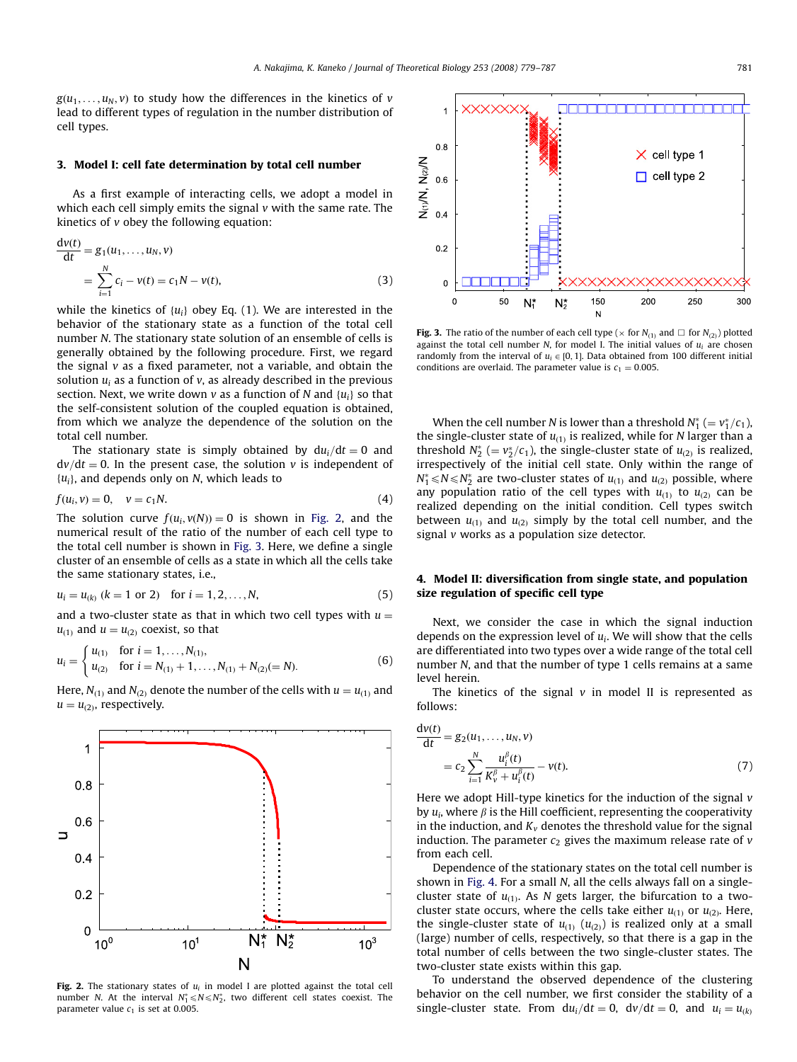$g(u_1, \ldots, u_N, v)$  to study how the differences in the kinetics of v lead to different types of regulation in the number distribution of cell types.

## 3. Model I: cell fate determination by total cell number

As a first example of interacting cells, we adopt a model in which each cell simply emits the signal v with the same rate. The kinetics of  $\nu$  obey the following equation:

$$
\frac{dv(t)}{dt} = g_1(u_1, ..., u_N, v)
$$
  
= 
$$
\sum_{i=1}^{N} c_i - v(t) = c_1 N - v(t),
$$
 (3)

while the kinetics of  $\{u_i\}$  obey Eq. (1). We are interested in the behavior of the stationary state as a function of the total cell number N. The stationary state solution of an ensemble of cells is generally obtained by the following procedure. First, we regard the signal  $v$  as a fixed parameter, not a variable, and obtain the solution  $u_i$  as a function of v, as already described in the previous section. Next, we write down v as a function of N and  $\{u_i\}$  so that the self-consistent solution of the coupled equation is obtained, from which we analyze the dependence of the solution on the total cell number.

The stationary state is simply obtained by  $du_i/dt = 0$  and  $dv/dt=0$ . In the present case, the solution v is independent of  $\{u_i\}$ , and depends only on N, which leads to

$$
f(u_i, v) = 0, \quad v = c_1 N. \tag{4}
$$

The solution curve  $f(u_i, v(N)) = 0$  is shown in Fig. 2, and the numerical result of the ratio of the number of each cell type to the total cell number is shown in Fig. 3. Here, we define a single cluster of an ensemble of cells as a state in which all the cells take the same stationary states, i.e.,

$$
u_i = u_{(k)} \ (k = 1 \text{ or } 2) \quad \text{for } i = 1, 2, \dots, N,
$$
 (5)

and a two-cluster state as that in which two cell types with  $u =$  $u_{(1)}$  and  $u = u_{(2)}$  coexist, so that

$$
u_i = \begin{cases} u_{(1)} & \text{for } i = 1, ..., N_{(1)}, \\ u_{(2)} & \text{for } i = N_{(1)} + 1, ..., N_{(1)} + N_{(2)} (= N). \end{cases}
$$
(6)

Here,  $N_{(1)}$  and  $N_{(2)}$  denote the number of the cells with  $u = u_{(1)}$  and  $u = u_{(2)}$ , respectively.



Fig. 2. The stationary states of  $u_i$  in model I are plotted against the total cell number N. At the interval  $N_1^* \le N \le N_2^*$ , two different cell states coexist. The parameter value  $c_1$  is set at 0.005.



**Fig. 3.** The ratio of the number of each cell type ( $\times$  for  $N_{(1)}$  and  $\Box$  for  $N_{(2)}$ ) plotted against the total cell number  $N$ , for model I. The initial values of  $u_i$  are chosen randomly from the interval of  $u_i \in [0, 1]$ . Data obtained from 100 different initial conditions are overlaid. The parameter value is  $c_1 = 0.005$ .

When the cell number N is lower than a threshold  $N_1^*$  (=  $v_1^*/c_1$ ), the single-cluster state of  $u_{(1)}$  is realized, while for N larger than a threshold  $N_2^*$  (=  $v_2^*/c_1$ ), the single-cluster state of  $u_{(2)}$  is realized, irrespectively of the initial cell state. Only within the range of  $N_1^* \le N \le N_2^*$  are two-cluster states of  $u_{(1)}$  and  $u_{(2)}$  possible, where any population ratio of the cell types with  $u_{(1)}$  to  $u_{(2)}$  can be realized depending on the initial condition. Cell types switch between  $u_{(1)}$  and  $u_{(2)}$  simply by the total cell number, and the signal v works as a population size detector.

## 4. Model II: diversification from single state, and population size regulation of specific cell type

Next, we consider the case in which the signal induction depends on the expression level of  $u_i$ . We will show that the cells are differentiated into two types over a wide range of the total cell number N, and that the number of type 1 cells remains at a same level herein.

The kinetics of the signal  $v$  in model II is represented as follows:

$$
\frac{dv(t)}{dt} = g_2(u_1, ..., u_N, v)
$$
  
=  $c_2 \sum_{i=1}^{N} \frac{u_i^{\beta}(t)}{K_v^{\beta} + u_i^{\beta}(t)} - v(t).$  (7)

Here we adopt Hill-type kinetics for the induction of the signal  $v$ by  $u_i$ , where  $\beta$  is the Hill coefficient, representing the cooperativity in the induction, and  $K_v$  denotes the threshold value for the signal induction. The parameter  $c_2$  gives the maximum release rate of  $v$ from each cell.

Dependence of the stationary states on the total cell number is shown in [Fig. 4.](#page-3-0) For a small N, all the cells always fall on a singlecluster state of  $u_{(1)}$ . As N gets larger, the bifurcation to a twocluster state occurs, where the cells take either  $u_{(1)}$  or  $u_{(2)}$ . Here, the single-cluster state of  $u_{(1)} (u_{(2)})$  is realized only at a small (large) number of cells, respectively, so that there is a gap in the total number of cells between the two single-cluster states. The two-cluster state exists within this gap.

To understand the observed dependence of the clustering behavior on the cell number, we first consider the stability of a single-cluster state. From  $du_i/dt = 0$ ,  $dv/dt = 0$ , and  $u_i = u_{ik}$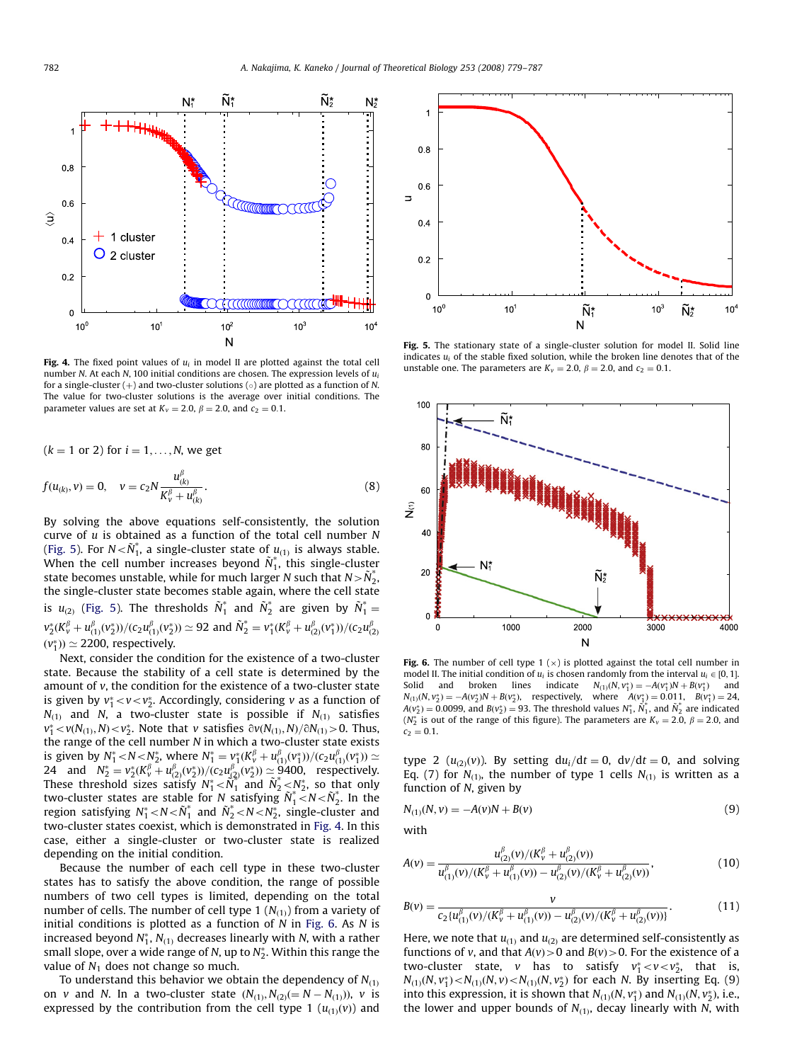<span id="page-3-0"></span>

Fig. 4. The fixed point values of  $u_i$  in model II are plotted against the total cell number N. At each N, 100 initial conditions are chosen. The expression levels of  $u_i$ for a single-cluster  $(+)$  and two-cluster solutions  $(\circ)$  are plotted as a function of N. The value for two-cluster solutions is the average over initial conditions. The parameter values are set at  $K_v = 2.0$ ,  $\beta = 2.0$ , and  $c_2 = 0.1$ .

 $(k = 1 \text{ or } 2)$  for  $i = 1, \ldots, N$ , we get

$$
f(u_{(k)}, v) = 0, \quad v = c_2 N \frac{u_{(k)}^{\beta}}{K_v^{\beta} + u_{(k)}^{\beta}}.
$$
\n(8)

By solving the above equations self-consistently, the solution curve of  $u$  is obtained as a function of the total cell number  $N$ (Fig. 5). For  $N<\tilde{N}_1^*$ , a single-cluster state of  $u_{(1)}$  is always stable. When the cell number increases beyond  $\tilde{N}_1^*$ , this single-cluster state becomes unstable, while for much larger N such that  $N > N_2^*$ , the single-cluster state becomes stable again, where the cell state is  $u_{(2)}$  (Fig. 5). The thresholds  $\tilde{N}_1^*$  and  $\tilde{N}_2^*$  are given by  $\tilde{N}_1^* =$  $v_2^*(K_v^{\beta}+u_{(1)}^{\beta}(v_2^*))/c_2u_{(1)}^{\beta}(v_2^*))\simeq 92$  and  $\tilde{N}_2^*=v_1^*(K_v^{\beta}+u_{(2)}^{\beta}(v_1^*))/c_2u_{(2)}^{\beta}$  $(v_1^*)$   $\simeq$  2200, respectively.

Next, consider the condition for the existence of a two-cluster state. Because the stability of a cell state is determined by the amount of v, the condition for the existence of a two-cluster state is given by  $v_1^*< v < v_2^*$ . Accordingly, considering v as a function of  $N_{(1)}$  and N, a two-cluster state is possible if  $N_{(1)}$  satisfies  $v_1^* < v(N_{(1)}, N) < v_2^*$ . Note that v satisfies  $\partial v(N_{(1)}, N)/\partial N_{(1)} > 0$ . Thus, the range of the cell number N in which a two-cluster state exists is given by  $N_1^* < N < N_2^*$ , where  $N_1^* = \frac{v_1^*}{(K_v^{\beta} + u_{(1)}^{\beta}(v_1^*))}{(c_2u_{(1)}^{\beta}(v_1^*))} \simeq$  $\begin{array}{l}\n\text{By } N_1 \le N \le N_2, \\
\text{Note:} \quad \text{Note:} \quad N_1 = \frac{V_1(\Lambda_V + \mu_{(1)}(V_1))/(\varepsilon_2 u_{(1)}(V_1)) - 24 \\
\text{and} \quad N_2^* = \frac{V_2(K_V^{\beta} + u_{(2)}^{\beta}(V_2^*))}{(\varepsilon_2 u_{(2)}^{\beta}(V_2^*))} \approx 9400, \\
\text{ respectively.}\n\end{array}$ These threshold sizes satisfy  $N_1^* < N_1^*$  and  $N_2^* < N_2^*$ , so that only two-cluster states are stable for N satisfying  $\tilde{N}_1^* < N < \tilde{N}_2^*$ . In the region satisfying  $N_1^*{<}N{<}\tilde{N}_1^*$  and  $\tilde{N}_2^*{<}N{<}N_2^*$ , single-cluster and two-cluster states coexist, which is demonstrated in Fig. 4. In this case, either a single-cluster or two-cluster state is realized depending on the initial condition.

Because the number of each cell type in these two-cluster states has to satisfy the above condition, the range of possible numbers of two cell types is limited, depending on the total number of cells. The number of cell type 1  $(N_{(1)})$  from a variety of initial conditions is plotted as a function of  $N$  in Fig. 6. As  $N$  is increased beyond  $N_1^*,$   $N_{(1)}$  decreases linearly with N, with a rather small slope, over a wide range of N, up to  $N^\ast_2.$  Within this range the value of  $N_1$  does not change so much.

To understand this behavior we obtain the dependency of  $N_{(1)}$ on v and N. In a two-cluster state  $(N_{(1)}, N_{(2)}(=N-N_{(1)}))$ , v is expressed by the contribution from the cell type 1  $(u<sub>(1)</sub>(v))$  and



Fig. 5. The stationary state of a single-cluster solution for model II. Solid line indicates  $u_i$  of the stable fixed solution, while the broken line denotes that of the unstable one. The parameters are  $K_v = 2.0$ ,  $\beta = 2.0$ , and  $c_2 = 0.1$ .



Fig. 6. The number of cell type 1  $(x)$  is plotted against the total cell number in model II. The initial condition of  $u_i$  is chosen randomly from the interval  $u_i \in [0, 1]$ . Solid and broken lines indicate  $N_{(1)}(N, v_1^*) = -A(v_1^*)N + B(v_1^*)$  and  $N_{(1)}(N, v_2^*) = -A(v_2^*)N + B(v_2^*)$ , respectively, where  $A(v_1^*) = 0.011$ ,  $B(v_1^*) = 24$ ,  $A(v_2^*) = 0.0099$ , and  $B(v_2^*) = 93$ . The threshold values  $N_1^*$ ,  $N_1^*$ , and  $N_2^*$  are indicated ( $N_2^*$  is out of the range of this figure). The parameters are  $K_v = 2.0$ ,  $\beta = 2.0$ , and  $c_2 = 0.1$ .

type 2  $(u_{(2)}(v))$ . By setting  $du_i/dt = 0$ ,  $dv/dt = 0$ , and solving Eq. (7) for  $N_{(1)}$ , the number of type 1 cells  $N_{(1)}$  is written as a function of N, given by

$$
N_{(1)}(N, v) = -A(v)N + B(v)
$$
\n(9)

with

$$
A(v) = \frac{u_{(2)}^{\beta}(v)/(K_v^{\beta} + u_{(2)}^{\beta}(v))}{u_{(1)}^{\beta}(v)/(K_v^{\beta} + u_{(1)}^{\beta}(v)) - u_{(2)}^{\beta}(v)/(K_v^{\beta} + u_{(2)}^{\beta}(v))},
$$
(10)

$$
B(v) = \frac{v}{c_2 \{u_{(1)}^{\beta}(v)/(K_v^{\beta} + u_{(1)}^{\beta}(v)) - u_{(2)}^{\beta}(v)/(K_v^{\beta} + u_{(2)}^{\beta}(v))\}}.
$$
(11)

Here, we note that  $u_{(1)}$  and  $u_{(2)}$  are determined self-consistently as functions of v, and that  $A(v) > 0$  and  $B(v) > 0$ . For the existence of a two-cluster state, v has to satisfy  $v_1^* < v < v_2^*$ , that is,  $N_{(1)}(N, v_1^*) < N_{(1)}(N, v) < N_{(1)}(N, v_2^*)$  for each N. By inserting Eq. (9) into this expression, it is shown that  $N_{(1)}(N, v_1^*)$  and  $N_{(1)}(N, v_2^*)$ , i.e., the lower and upper bounds of  $N_{(1)}$ , decay linearly with N, with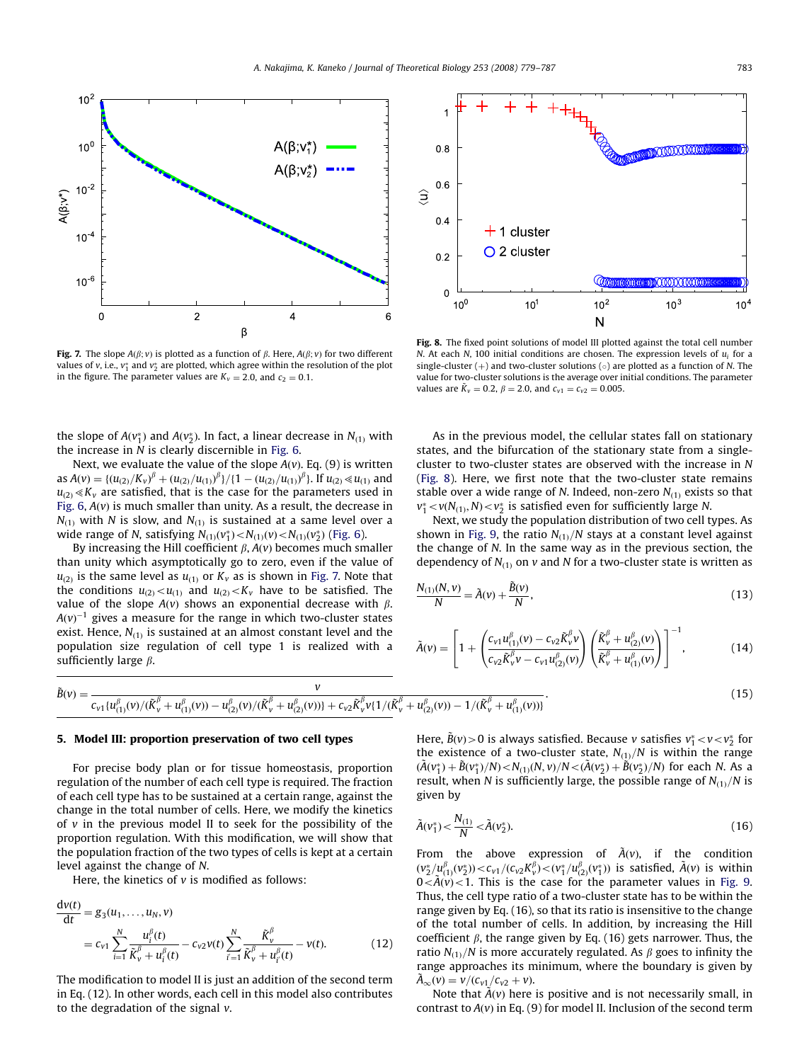

Fig. 7. The slope  $A(\beta; v)$  is plotted as a function of  $\beta$ . Here,  $A(\beta; v)$  for two different values of v, i.e.,  $v_1^*$  and  $v_2^*$  are plotted, which agree within the resolution of the plot in the figure. The parameter values are  $K_v = 2.0$ , and  $c_2 = 0.1$ .

the slope of  $A(v_1^*)$  and  $A(v_2^*)$ . In fact, a linear decrease in  $N_{(1)}$  with the increase in  $N$  is clearly discernible in [Fig. 6](#page-3-0).

Next, we evaluate the value of the slope  $A(v)$ . Eq. (9) is written as  $A(v) = \{ (u_{(2)}/K_v)^\beta + (u_{(2)}/u_{(1)})^\beta \} / \{ 1 - (u_{(2)}/u_{(1)})^\beta \}$ . If  $u_{(2)} \ll u_{(1)}$  and  $u_{(2)} \ll K_v$  are satisfied, that is the case for the parameters used in [Fig. 6,](#page-3-0)  $A(v)$  is much smaller than unity. As a result, the decrease in  $N_{(1)}$  with N is slow, and  $N_{(1)}$  is sustained at a same level over a wide range of N, satisfying  $N_{(1)}(v_1^*) < N_{(1)}(v) < N_{(1)}(v_2^*)$  ([Fig. 6\)](#page-3-0).

By increasing the Hill coefficient  $\beta$ ,  $A(v)$  becomes much smaller than unity which asymptotically go to zero, even if the value of  $u_{(2)}$  is the same level as  $u_{(1)}$  or  $K_v$  as is shown in Fig. 7. Note that the conditions  $u_{(2)} < u_{(1)}$  and  $u_{(2)} < K_v$  have to be satisfied. The value of the slope  $A(v)$  shows an exponential decrease with  $\beta$ .  $A(v)^{-1}$  gives a measure for the range in which two-cluster states exist. Hence,  $N_{(1)}$  is sustained at an almost constant level and the population size regulation of cell type 1 is realized with a sufficiently large  $\beta$ .



Fig. 8. The fixed point solutions of model III plotted against the total cell number N. At each N, 100 initial conditions are chosen. The expression levels of  $u_i$  for a single-cluster  $(+)$  and two-cluster solutions  $(\circ)$  are plotted as a function of N. The value for two-cluster solutions is the average over initial conditions. The parameter values are  $\tilde{K}_v = 0.2$ ,  $\beta = 2.0$ , and  $c_{v1} = c_{v2} = 0.005$ .

As in the previous model, the cellular states fall on stationary states, and the bifurcation of the stationary state from a singlecluster to two-cluster states are observed with the increase in N (Fig. 8). Here, we first note that the two-cluster state remains stable over a wide range of N. Indeed, non-zero  $N_{(1)}$  exists so that  $v_1^*$   $< v(N_{(1)}, N)$  $< v_2^*$  is satisfied even for sufficiently large N.

Next, we study the population distribution of two cell types. As shown in [Fig. 9](#page-5-0), the ratio  $N_{(1)}/N$  stays at a constant level against the change of N. In the same way as in the previous section, the dependency of  $N_{(1)}$  on v and N for a two-cluster state is written as

$$
\frac{N_{(1)}(N,\nu)}{N} = \tilde{A}(\nu) + \frac{\tilde{B}(\nu)}{N},\tag{13}
$$

$$
\tilde{A}(v) = \left[1 + \left(\frac{c_{v1}u_{(1)}^{\beta}(v) - c_{v2}\tilde{K}_{v}^{\beta}v}{c_{v2}\tilde{K}_{v}^{\beta}v - c_{v1}u_{(2)}^{\beta}(v)}\right)\left(\frac{\tilde{K}_{v}^{\beta} + u_{(2)}^{\beta}(v)}{\tilde{K}_{v}^{\beta} + u_{(1)}^{\beta}(v)}\right)\right]^{-1},
$$
\n(14)

$$
\tilde{B}(v) = \frac{v}{c_{v1} \{u_{(1)}^{\beta}(v)/(K_{v}^{\beta} + u_{(1)}^{\beta}(v)) - u_{(2)}^{\beta}(v)/(K_{v}^{\beta} + u_{(2)}^{\beta}(v))\} + c_{v2}K_{v}^{\beta}v\{1/(\tilde{K}_{v}^{\beta} + u_{(2)}^{\beta}(v)) - 1/(\tilde{K}_{v}^{\beta} + u_{(1)}^{\beta}(v))\}}.
$$
\n(15)

### 5. Model III: proportion preservation of two cell types

For precise body plan or for tissue homeostasis, proportion regulation of the number of each cell type is required. The fraction of each cell type has to be sustained at a certain range, against the change in the total number of cells. Here, we modify the kinetics of  $v$  in the previous model II to seek for the possibility of the proportion regulation. With this modification, we will show that the population fraction of the two types of cells is kept at a certain level against the change of N.

Here, the kinetics of  $v$  is modified as follows:

$$
\frac{dv(t)}{dt} = g_3(u_1, ..., u_N, v) \n= c_{v1} \sum_{i=1}^N \frac{u_i^{\beta}(t)}{\tilde{K}_v^{\beta} + u_i^{\beta}(t)} - c_{v2}v(t) \sum_{i'=1}^N \frac{\tilde{K}_v^{\beta}}{\tilde{K}_v^{\beta} + u_i^{\beta}(t)} - v(t).
$$
\n(12)

The modification to model II is just an addition of the second term in Eq. (12). In other words, each cell in this model also contributes to the degradation of the signal  $v$ .

Here,  $\tilde{B}(v) \!>\! 0$  is always satisfied. Because  $v$  satisfies  $v_1^* \!<\! v \!<\! v_2^*$  for the existence of a two-cluster state,  $N_{(1)}/N$  is within the range  $(\tilde{A}(v_1^*) + \tilde{B}(v_1^*)/N) < N_{(1)}(N, v)/N < (\tilde{A}(v_2^*) + \tilde{B}(v_2^*)/N)$  for each N. As a result, when N is sufficiently large, the possible range of  $N_{(1)}/N$  is given by

$$
\tilde{A}(v_1^*) < \frac{N_{(1)}}{N} < \tilde{A}(v_2^*). \tag{16}
$$

From the above expression of  $\tilde{A}(v)$ , if the condition  $(v_2^*/u_{(1)}^{\beta}(v_2^*))$   $<$   $c_{v1}/(c_{v2}K_v^{\beta})$   $<$   $(v_1^*/u_{(2)}^{\beta}(v_1^*))$  is satisfied,  $\tilde{A}(v)$  is within  $0 < \tilde{A}(v) < 1$ . This is the case for the parameter values in [Fig. 9.](#page-5-0) Thus, the cell type ratio of a two-cluster state has to be within the range given by Eq. (16), so that its ratio is insensitive to the change of the total number of cells. In addition, by increasing the Hill coefficient  $\beta$ , the range given by Eq. (16) gets narrower. Thus, the ratio  $N_{(1)}/N$  is more accurately regulated. As  $\beta$  goes to infinity the range approaches its minimum, where the boundary is given by  $\tilde{A}_{\infty}(v) = \nu/(c_{\nu 1}/c_{\nu 2} + v).$ 

Note that  $\tilde{A}(v)$  here is positive and is not necessarily small, in contrast to  $A(v)$  in Eq. (9) for model II. Inclusion of the second term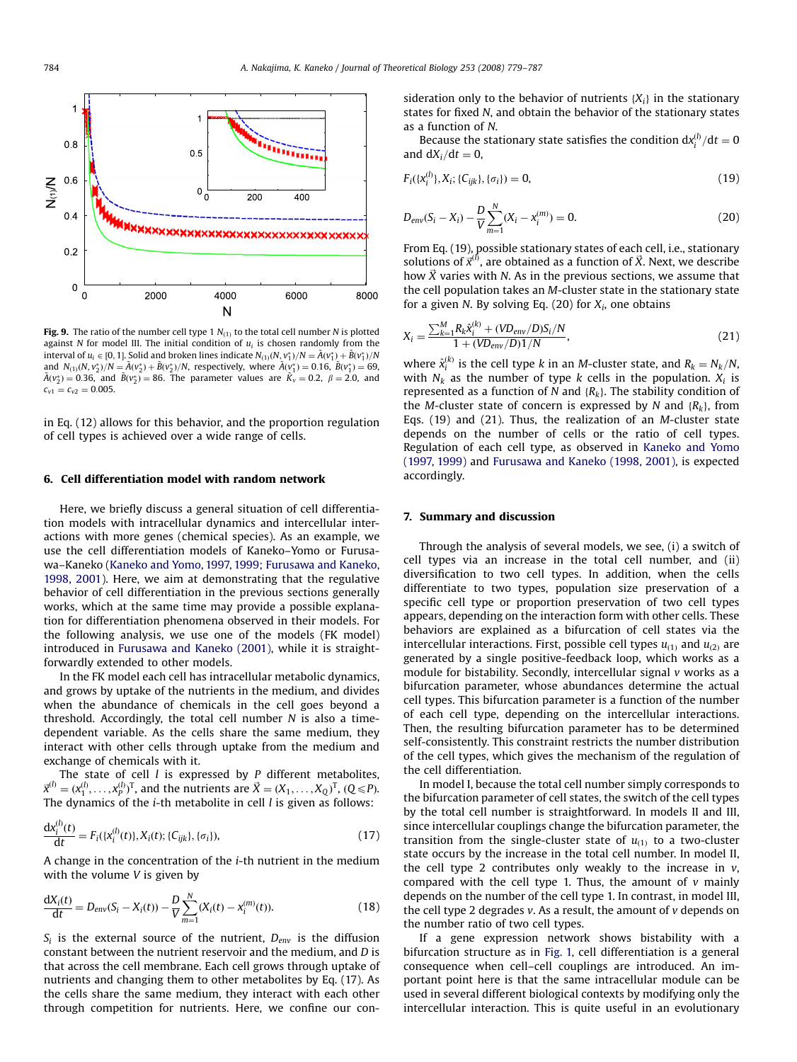<span id="page-5-0"></span>

Fig. 9. The ratio of the number cell type 1  $N_{(1)}$  to the total cell number N is plotted against N for model III. The initial condition of  $u_i$  is chosen randomly from the interval of  $u_i \in [0, 1]$ . Solid and broken lines indicate  $N_{(1)}(N, v_1^*)/N = \tilde{A}(v_1^*) + \tilde{B}(v_1^*)/N$ and  $N_{(1)}(N, v_2^*)/N = \tilde{A}(v_2^*) + \tilde{B}(v_2^*)/N$ , respectively, where  $\tilde{A}(v_1^*) = 0.16$ ,  $\tilde{B}(v_1^*) = 69$ ,  $\tilde{A}(v_2^*) = 0.36$ , and  $\tilde{B}(v_2^*) = 86$ . The parameter values are  $\tilde{K}_v = 0.2$ ,  $\beta = 2.0$ , and  $c_{v1} = c_{v2} = 0.005$ .

in Eq. (12) allows for this behavior, and the proportion regulation of cell types is achieved over a wide range of cells.

### 6. Cell differentiation model with random network

Here, we briefly discuss a general situation of cell differentiation models with intracellular dynamics and intercellular interactions with more genes (chemical species). As an example, we use the cell differentiation models of Kaneko–Yomo or Furusawa–Kaneko [\(Kaneko and Yomo, 1997, 1999; Furusawa and Kaneko,](#page-7-0) [1998, 2001\)](#page-7-0). Here, we aim at demonstrating that the regulative behavior of cell differentiation in the previous sections generally works, which at the same time may provide a possible explanation for differentiation phenomena observed in their models. For the following analysis, we use one of the models (FK model) introduced in [Furusawa and Kaneko \(2001\),](#page-7-0) while it is straightforwardly extended to other models.

In the FK model each cell has intracellular metabolic dynamics, and grows by uptake of the nutrients in the medium, and divides when the abundance of chemicals in the cell goes beyond a threshold. Accordingly, the total cell number  $N$  is also a timedependent variable. As the cells share the same medium, they interact with other cells through uptake from the medium and exchange of chemicals with it.

The state of cell  $l$  is expressed by  $P$  different metabolites,  $\vec{x}^{(l)} = (x_1^{(l)}, \dots, x_p^{(l)})^T$ , and the nutrients are  $\vec{X} = (X_1, \dots, X_Q)^T$ ,  $(Q \leq P)$ . The dynamics of the  $i$ -th metabolite in cell  $l$  is given as follows:

$$
\frac{dx_i^{(l)}(t)}{dt} = F_i(\{x_i^{(l)}(t)\}, X_i(t); \{C_{ijk}\}, \{\sigma_i\}),
$$
\n(17)

A change in the concentration of the i-th nutrient in the medium with the volume  $V$  is given by

$$
\frac{dX_i(t)}{dt} = D_{env}(S_i - X_i(t)) - \frac{D}{V} \sum_{m=1}^{N} (X_i(t) - x_i^{(m)}(t)).
$$
\n(18)

 $S_i$  is the external source of the nutrient,  $D_{env}$  is the diffusion constant between the nutrient reservoir and the medium, and D is that across the cell membrane. Each cell grows through uptake of nutrients and changing them to other metabolites by Eq. (17). As the cells share the same medium, they interact with each other through competition for nutrients. Here, we confine our consideration only to the behavior of nutrients  $\{X_i\}$  in the stationary states for fixed N, and obtain the behavior of the stationary states as a function of N.

Because the stationary state satisfies the condition  $dx_i^{(l)} / dt = 0$ and  $dX_i/dt = 0$ ,

$$
F_i({x_i^{(l)}}, X_i; {C_{ijk}}, {\sigma_i}) = 0,
$$
\n(19)

$$
D_{env}(S_i - X_i) - \frac{D}{V} \sum_{m=1}^{N} (X_i - x_i^{(m)}) = 0.
$$
 (20)

From Eq. (19), possible stationary states of each cell, i.e., stationary solutions of  $\vec{x}^{(l)}$ , are obtained as a function of  $\vec{X}$ . Next, we describe how  $\vec{X}$  varies with N. As in the previous sections, we assume that the cell population takes an M-cluster state in the stationary state for a given N. By solving Eq.  $(20)$  for  $X_i$ , one obtains

$$
X_{i} = \frac{\sum_{k=1}^{M} R_{k} \hat{x}_{i}^{(k)} + (V D_{env}/D) S_{i}/N}{1 + (V D_{env}/D) 1/N},
$$
\n(21)

where  $\hat{x}_i^{(k)}$  is the cell type k in an M-cluster state, and  $R_k = N_k/N_k$ with  $N_k$  as the number of type k cells in the population.  $X_i$  is represented as a function of N and  $\{R_k\}$ . The stability condition of the M-cluster state of concern is expressed by N and  $\{R_k\}$ , from Eqs. (19) and (21). Thus, the realization of an M-cluster state depends on the number of cells or the ratio of cell types. Regulation of each cell type, as observed in [Kaneko and Yomo](#page-7-0) [\(1997, 1999\)](#page-7-0) and [Furusawa and Kaneko \(1998, 2001\),](#page-7-0) is expected accordingly.

## 7. Summary and discussion

Through the analysis of several models, we see, (i) a switch of cell types via an increase in the total cell number, and (ii) diversification to two cell types. In addition, when the cells differentiate to two types, population size preservation of a specific cell type or proportion preservation of two cell types appears, depending on the interaction form with other cells. These behaviors are explained as a bifurcation of cell states via the intercellular interactions. First, possible cell types  $u_{(1)}$  and  $u_{(2)}$  are generated by a single positive-feedback loop, which works as a module for bistability. Secondly, intercellular signal v works as a bifurcation parameter, whose abundances determine the actual cell types. This bifurcation parameter is a function of the number of each cell type, depending on the intercellular interactions. Then, the resulting bifurcation parameter has to be determined self-consistently. This constraint restricts the number distribution of the cell types, which gives the mechanism of the regulation of the cell differentiation.

In model I, because the total cell number simply corresponds to the bifurcation parameter of cell states, the switch of the cell types by the total cell number is straightforward. In models II and III, since intercellular couplings change the bifurcation parameter, the transition from the single-cluster state of  $u_{(1)}$  to a two-cluster state occurs by the increase in the total cell number. In model II, the cell type 2 contributes only weakly to the increase in  $v$ , compared with the cell type 1. Thus, the amount of  $v$  mainly depends on the number of the cell type 1. In contrast, in model III, the cell type 2 degrades  $v$ . As a result, the amount of  $v$  depends on the number ratio of two cell types.

If a gene expression network shows bistability with a bifurcation structure as in [Fig. 1,](#page-1-0) cell differentiation is a general consequence when cell–cell couplings are introduced. An important point here is that the same intracellular module can be used in several different biological contexts by modifying only the intercellular interaction. This is quite useful in an evolutionary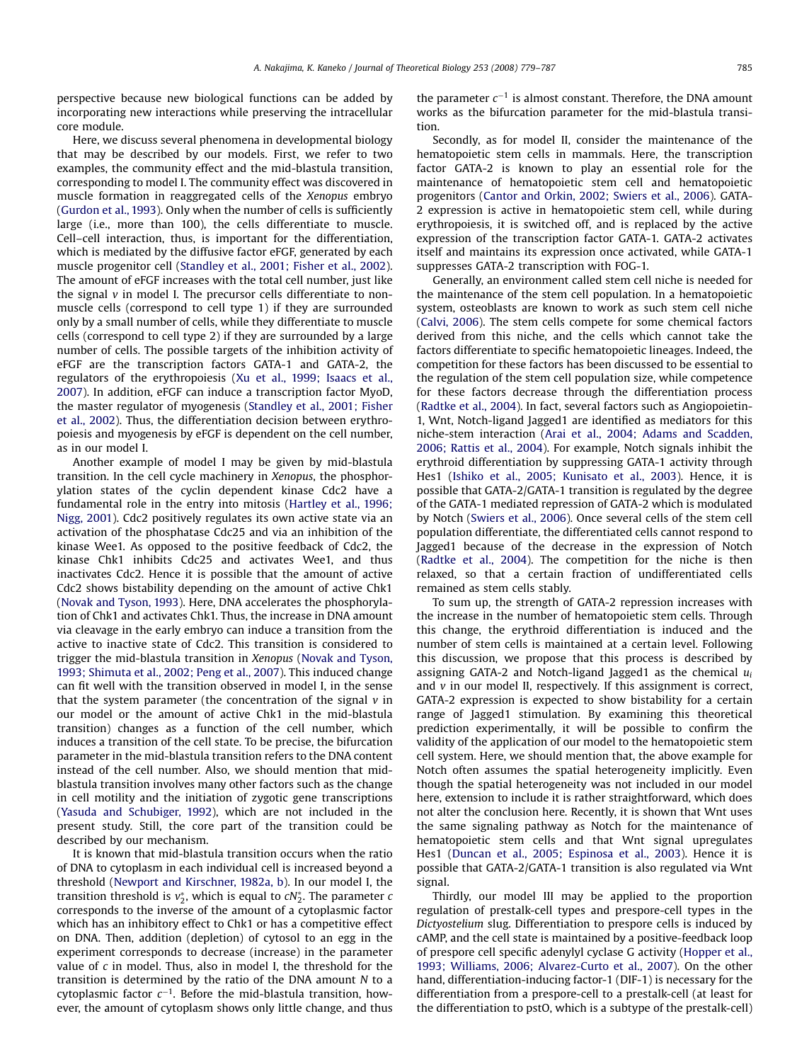perspective because new biological functions can be added by incorporating new interactions while preserving the intracellular core module.

Here, we discuss several phenomena in developmental biology that may be described by our models. First, we refer to two examples, the community effect and the mid-blastula transition, corresponding to model I. The community effect was discovered in muscle formation in reaggregated cells of the Xenopus embryo ([Gurdon et al., 1993\)](#page-7-0). Only when the number of cells is sufficiently large (i.e., more than 100), the cells differentiate to muscle. Cell–cell interaction, thus, is important for the differentiation, which is mediated by the diffusive factor eFGF, generated by each muscle progenitor cell ([Standley et al., 2001; Fisher et al., 2002\)](#page-8-0). The amount of eFGF increases with the total cell number, just like the signal  $v$  in model I. The precursor cells differentiate to nonmuscle cells (correspond to cell type 1) if they are surrounded only by a small number of cells, while they differentiate to muscle cells (correspond to cell type 2) if they are surrounded by a large number of cells. The possible targets of the inhibition activity of eFGF are the transcription factors GATA-1 and GATA-2, the regulators of the erythropoiesis ([Xu et al., 1999; Isaacs et al.,](#page-8-0) [2007\)](#page-8-0). In addition, eFGF can induce a transcription factor MyoD, the master regulator of myogenesis ([Standley et al., 2001; Fisher](#page-8-0) [et al., 2002](#page-8-0)). Thus, the differentiation decision between erythropoiesis and myogenesis by eFGF is dependent on the cell number, as in our model I.

Another example of model I may be given by mid-blastula transition. In the cell cycle machinery in Xenopus, the phosphorylation states of the cyclin dependent kinase Cdc2 have a fundamental role in the entry into mitosis [\(Hartley et al., 1996;](#page-7-0) [Nigg, 2001](#page-7-0)). Cdc2 positively regulates its own active state via an activation of the phosphatase Cdc25 and via an inhibition of the kinase Wee1. As opposed to the positive feedback of Cdc2, the kinase Chk1 inhibits Cdc25 and activates Wee1, and thus inactivates Cdc2. Hence it is possible that the amount of active Cdc2 shows bistability depending on the amount of active Chk1 ([Novak and Tyson, 1993\)](#page-8-0). Here, DNA accelerates the phosphorylation of Chk1 and activates Chk1. Thus, the increase in DNA amount via cleavage in the early embryo can induce a transition from the active to inactive state of Cdc2. This transition is considered to trigger the mid-blastula transition in Xenopus [\(Novak and Tyson,](#page-8-0) [1993; Shimuta et al., 2002; Peng et al., 2007\)](#page-8-0). This induced change can fit well with the transition observed in model I, in the sense that the system parameter (the concentration of the signal  $v$  in our model or the amount of active Chk1 in the mid-blastula transition) changes as a function of the cell number, which induces a transition of the cell state. To be precise, the bifurcation parameter in the mid-blastula transition refers to the DNA content instead of the cell number. Also, we should mention that midblastula transition involves many other factors such as the change in cell motility and the initiation of zygotic gene transcriptions ([Yasuda and Schubiger, 1992](#page-8-0)), which are not included in the present study. Still, the core part of the transition could be described by our mechanism.

It is known that mid-blastula transition occurs when the ratio of DNA to cytoplasm in each individual cell is increased beyond a threshold [\(Newport and Kirschner, 1982a, b\)](#page-8-0). In our model I, the transition threshold is  $v_2^*$ , which is equal to  $cN_2^*$ . The parameter  $c$ corresponds to the inverse of the amount of a cytoplasmic factor which has an inhibitory effect to Chk1 or has a competitive effect on DNA. Then, addition (depletion) of cytosol to an egg in the experiment corresponds to decrease (increase) in the parameter value of  $c$  in model. Thus, also in model I, the threshold for the transition is determined by the ratio of the DNA amount N to a cytoplasmic factor  $c^{-1}$ . Before the mid-blastula transition, however, the amount of cytoplasm shows only little change, and thus

the parameter  $c^{-1}$  is almost constant. Therefore, the DNA amount works as the bifurcation parameter for the mid-blastula transition.

Secondly, as for model II, consider the maintenance of the hematopoietic stem cells in mammals. Here, the transcription factor GATA-2 is known to play an essential role for the maintenance of hematopoietic stem cell and hematopoietic progenitors [\(Cantor and Orkin, 2002; Swiers et al., 2006](#page-7-0)). GATA-2 expression is active in hematopoietic stem cell, while during erythropoiesis, it is switched off, and is replaced by the active expression of the transcription factor GATA-1. GATA-2 activates itself and maintains its expression once activated, while GATA-1 suppresses GATA-2 transcription with FOG-1.

Generally, an environment called stem cell niche is needed for the maintenance of the stem cell population. In a hematopoietic system, osteoblasts are known to work as such stem cell niche ([Calvi, 2006\)](#page-7-0). The stem cells compete for some chemical factors derived from this niche, and the cells which cannot take the factors differentiate to specific hematopoietic lineages. Indeed, the competition for these factors has been discussed to be essential to the regulation of the stem cell population size, while competence for these factors decrease through the differentiation process ([Radtke et al., 2004\)](#page-8-0). In fact, several factors such as Angiopoietin-1, Wnt, Notch-ligand Jagged1 are identified as mediators for this niche-stem interaction ([Arai et al., 2004; Adams and Scadden,](#page-7-0) [2006; Rattis et al., 2004\)](#page-7-0). For example, Notch signals inhibit the erythroid differentiation by suppressing GATA-1 activity through Hes1 [\(Ishiko et al., 2005; Kunisato et al., 2003\)](#page-7-0). Hence, it is possible that GATA-2/GATA-1 transition is regulated by the degree of the GATA-1 mediated repression of GATA-2 which is modulated by Notch [\(Swiers et al., 2006](#page-8-0)). Once several cells of the stem cell population differentiate, the differentiated cells cannot respond to Jagged1 because of the decrease in the expression of Notch ([Radtke et al., 2004\)](#page-8-0). The competition for the niche is then relaxed, so that a certain fraction of undifferentiated cells remained as stem cells stably.

To sum up, the strength of GATA-2 repression increases with the increase in the number of hematopoietic stem cells. Through this change, the erythroid differentiation is induced and the number of stem cells is maintained at a certain level. Following this discussion, we propose that this process is described by assigning GATA-2 and Notch-ligand Jagged1 as the chemical  $u_i$ and  $v$  in our model II, respectively. If this assignment is correct, GATA-2 expression is expected to show bistability for a certain range of Jagged1 stimulation. By examining this theoretical prediction experimentally, it will be possible to confirm the validity of the application of our model to the hematopoietic stem cell system. Here, we should mention that, the above example for Notch often assumes the spatial heterogeneity implicitly. Even though the spatial heterogeneity was not included in our model here, extension to include it is rather straightforward, which does not alter the conclusion here. Recently, it is shown that Wnt uses the same signaling pathway as Notch for the maintenance of hematopoietic stem cells and that Wnt signal upregulates Hes1 ([Duncan et al., 2005; Espinosa et al., 2003\)](#page-7-0). Hence it is possible that GATA-2/GATA-1 transition is also regulated via Wnt signal.

Thirdly, our model III may be applied to the proportion regulation of prestalk-cell types and prespore-cell types in the Dictyostelium slug. Differentiation to prespore cells is induced by cAMP, and the cell state is maintained by a positive-feedback loop of prespore cell specific adenylyl cyclase G activity [\(Hopper et al.,](#page-7-0) [1993; Williams, 2006; Alvarez-Curto et al., 2007](#page-7-0)). On the other hand, differentiation-inducing factor-1 (DIF-1) is necessary for the differentiation from a prespore-cell to a prestalk-cell (at least for the differentiation to pstO, which is a subtype of the prestalk-cell)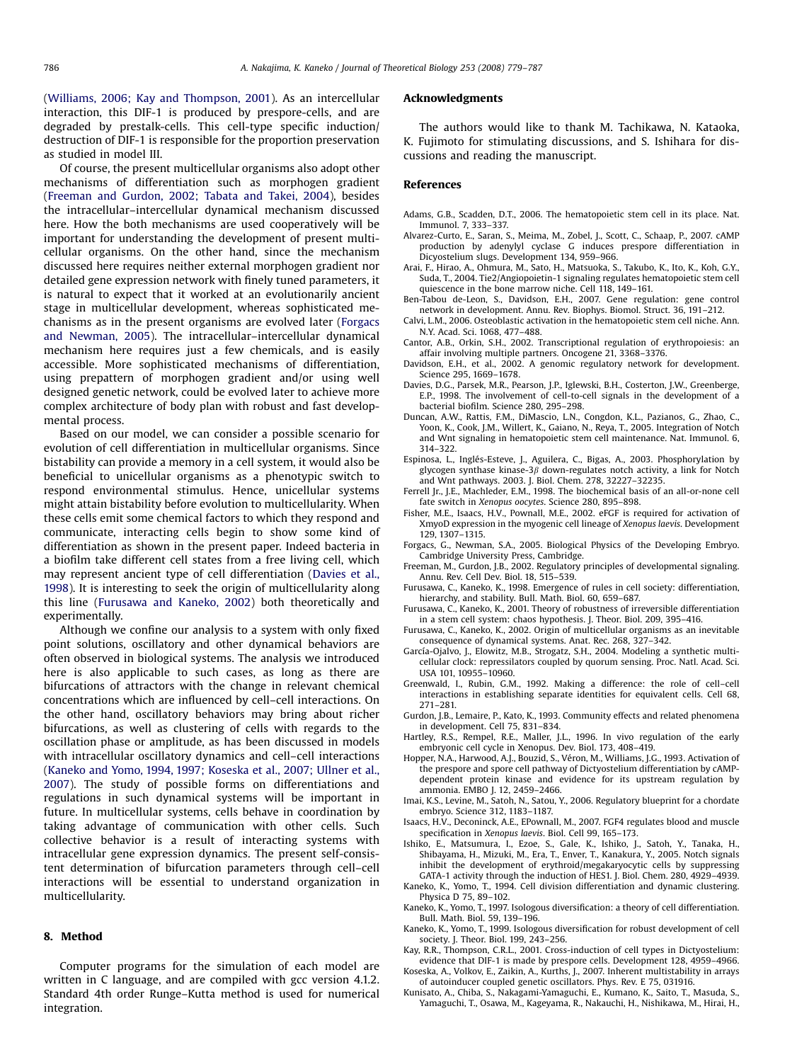<span id="page-7-0"></span>([Williams, 2006; Kay and Thompson, 2001\)](#page-8-0). As an intercellular interaction, this DIF-1 is produced by prespore-cells, and are degraded by prestalk-cells. This cell-type specific induction/ destruction of DIF-1 is responsible for the proportion preservation as studied in model III.

Of course, the present multicellular organisms also adopt other mechanisms of differentiation such as morphogen gradient (Freeman and Gurdon, 2002; Tabata and Takei, 2004), besides the intracellular–intercellular dynamical mechanism discussed here. How the both mechanisms are used cooperatively will be important for understanding the development of present multicellular organisms. On the other hand, since the mechanism discussed here requires neither external morphogen gradient nor detailed gene expression network with finely tuned parameters, it is natural to expect that it worked at an evolutionarily ancient stage in multicellular development, whereas sophisticated mechanisms as in the present organisms are evolved later (Forgacs and Newman, 2005). The intracellular–intercellular dynamical mechanism here requires just a few chemicals, and is easily accessible. More sophisticated mechanisms of differentiation, using prepattern of morphogen gradient and/or using well designed genetic network, could be evolved later to achieve more complex architecture of body plan with robust and fast developmental process.

Based on our model, we can consider a possible scenario for evolution of cell differentiation in multicellular organisms. Since bistability can provide a memory in a cell system, it would also be beneficial to unicellular organisms as a phenotypic switch to respond environmental stimulus. Hence, unicellular systems might attain bistability before evolution to multicellularity. When these cells emit some chemical factors to which they respond and communicate, interacting cells begin to show some kind of differentiation as shown in the present paper. Indeed bacteria in a biofilm take different cell states from a free living cell, which may represent ancient type of cell differentiation (Davies et al., 1998). It is interesting to seek the origin of multicellularity along this line (Furusawa and Kaneko, 2002) both theoretically and experimentally.

Although we confine our analysis to a system with only fixed point solutions, oscillatory and other dynamical behaviors are often observed in biological systems. The analysis we introduced here is also applicable to such cases, as long as there are bifurcations of attractors with the change in relevant chemical concentrations which are influenced by cell–cell interactions. On the other hand, oscillatory behaviors may bring about richer bifurcations, as well as clustering of cells with regards to the oscillation phase or amplitude, as has been discussed in models with intracellular oscillatory dynamics and cell–cell interactions (Kaneko and Yomo, 1994, 1997; Koseska et al., 2007; Ullner et al., 2007). The study of possible forms on differentiations and regulations in such dynamical systems will be important in future. In multicellular systems, cells behave in coordination by taking advantage of communication with other cells. Such collective behavior is a result of interacting systems with intracellular gene expression dynamics. The present self-consistent determination of bifurcation parameters through cell–cell interactions will be essential to understand organization in multicellularity.

#### 8. Method

Computer programs for the simulation of each model are written in C language, and are compiled with gcc version 4.1.2. Standard 4th order Runge–Kutta method is used for numerical integration.

## Acknowledgments

The authors would like to thank M. Tachikawa, N. Kataoka, K. Fujimoto for stimulating discussions, and S. Ishihara for discussions and reading the manuscript.

## References

- Adams, G.B., Scadden, D.T., 2006. The hematopoietic stem cell in its place. Nat. Immunol. 7, 333–337.
- Alvarez-Curto, E., Saran, S., Meima, M., Zobel, J., Scott, C., Schaap, P., 2007. cAMP production by adenylyl cyclase G induces prespore differentiation in Dicyostelium slugs. Development 134, 959–966.
- Arai, F., Hirao, A., Ohmura, M., Sato, H., Matsuoka, S., Takubo, K., Ito, K., Koh, G.Y., Suda, T., 2004. Tie2/Angiopoietin-1 signaling regulates hematopoietic stem cell quiescence in the bone marrow niche. Cell 118, 149–161.
- Ben-Tabou de-Leon, S., Davidson, E.H., 2007. Gene regulation: gene control network in development. Annu. Rev. Biophys. Biomol. Struct. 36, 191–212.
- Calvi, L.M., 2006. Osteoblastic activation in the hematopoietic stem cell niche. Ann. N.Y. Acad. Sci. 1068, 477–488.
- Cantor, A.B., Orkin, S.H., 2002. Transcriptional regulation of erythropoiesis: an affair involving multiple partners. Oncogene 21, 3368–3376.
- Davidson, E.H., et al., 2002. A genomic regulatory network for development. Science 295, 1669–1678.
- Davies, D.G., Parsek, M.R., Pearson, J.P., Iglewski, B.H., Costerton, J.W., Greenberge, E.P., 1998. The involvement of cell-to-cell signals in the development of a bacterial biofilm. Science 280, 295–298.
- Duncan, A.W., Rattis, F.M., DiMascio, L.N., Congdon, K.L., Pazianos, G., Zhao, C., Yoon, K., Cook, J.M., Willert, K., Gaiano, N., Reya, T., 2005. Integration of Notch and Wnt signaling in hematopoietic stem cell maintenance. Nat. Immunol. 6, 314–322.
- Espinosa, L., Inglés-Esteve, J., Aguilera, C., Bigas, A., 2003. Phosphorylation by glycogen synthase kinase-3 $\beta$  down-regulates notch activity, a link for Notch and Wnt pathways. 2003. J. Biol. Chem. 278, 32227–32235.
- Ferrell Jr., J.E., Machleder, E.M., 1998. The biochemical basis of an all-or-none cell fate switch in Xenopus oocytes. Science 280, 895–898.
- Fisher, M.E., Isaacs, H.V., Pownall, M.E., 2002. eFGF is required for activation of XmyoD expression in the myogenic cell lineage of Xenopus laevis. Development 129, 1307–1315.
- Forgacs, G., Newman, S.A., 2005. Biological Physics of the Developing Embryo. Cambridge University Press, Cambridge.
- Freeman, M., Gurdon, J.B., 2002. Regulatory principles of developmental signaling. Annu. Rev. Cell Dev. Biol. 18, 515–539.
- Furusawa, C., Kaneko, K., 1998. Emergence of rules in cell society: differentiation, hierarchy, and stability. Bull. Math. Biol. 60, 659–687.
- Furusawa, C., Kaneko, K., 2001. Theory of robustness of irreversible differentiation in a stem cell system: chaos hypothesis. J. Theor. Biol. 209, 395–416.
- Furusawa, C., Kaneko, K., 2002. Origin of multicellular organisms as an inevitable consequence of dynamical systems. Anat. Rec. 268, 327–342.
- García-Ojalvo, J., Elowitz, M.B., Strogatz, S.H., 2004. Modeling a synthetic multicellular clock: repressilators coupled by quorum sensing. Proc. Natl. Acad. Sci. USA 101, 10955–10960.
- Greenwald, I., Rubin, G.M., 1992. Making a difference: the role of cell–cell interactions in establishing separate identities for equivalent cells. Cell 68, 271–281.
- Gurdon, J.B., Lemaire, P., Kato, K., 1993. Community effects and related phenomena in development. Cell 75, 831–834.
- Hartley, R.S., Rempel, R.E., Maller, J.L., 1996. In vivo regulation of the early embryonic cell cycle in Xenopus. Dev. Biol. 173, 408–419.
- Hopper, N.A., Harwood, A.J., Bouzid, S., Véron, M., Williams, J.G., 1993. Activation of the prespore and spore cell pathway of Dictyostelium differentiation by cAMPdependent protein kinase and evidence for its upstream regulation by ammonia. EMBO J. 12, 2459–2466.
- Imai, K.S., Levine, M., Satoh, N., Satou, Y., 2006. Regulatory blueprint for a chordate embryo. Science 312, 1183–1187.
- Isaacs, H.V., Deconinck, A.E., EPownall, M., 2007. FGF4 regulates blood and muscle specification in Xenopus laevis. Biol. Cell 99, 165–173.
- Ishiko, E., Matsumura, I., Ezoe, S., Gale, K., Ishiko, J., Satoh, Y., Tanaka, H., Shibayama, H., Mizuki, M., Era, T., Enver, T., Kanakura, Y., 2005. Notch signals inhibit the development of erythroid/megakaryocytic cells by suppressing GATA-1 activity through the induction of HES1. J. Biol. Chem. 280, 4929–4939.
- Kaneko, K., Yomo, T., 1994. Cell division differentiation and dynamic clustering. Physica D 75, 89–102.
- Kaneko, K., Yomo, T., 1997. Isologous diversification: a theory of cell differentiation. Bull. Math. Biol. 59, 139–196.
- Kaneko, K., Yomo, T., 1999. Isologous diversification for robust development of cell society. J. Theor. Biol. 199, 243–256.

Kay, R.R., Thompson, C.R.L., 2001. Cross-induction of cell types in Dictyostelium: evidence that DIF-1 is made by prespore cells. Development 128, 4959–4966.

Koseska, A., Volkov, E., Zaikin, A., Kurths, J., 2007. Inherent multistability in arrays of autoinducer coupled genetic oscillators. Phys. Rev. E 75, 031916.

Kunisato, A., Chiba, S., Nakagami-Yamaguchi, E., Kumano, K., Saito, T., Masuda, S., Yamaguchi, T., Osawa, M., Kageyama, R., Nakauchi, H., Nishikawa, M., Hirai, H.,